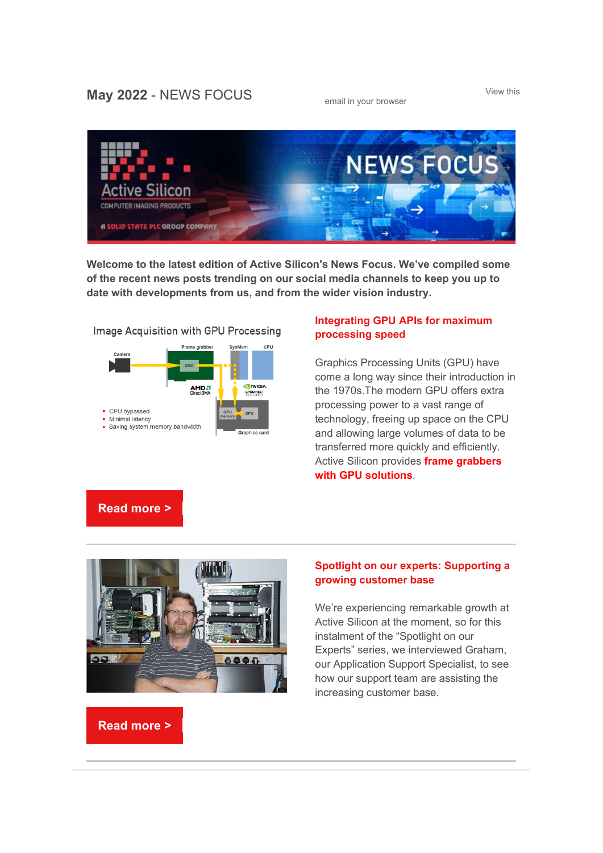# **May 2022** - NEWS FOCUS **All are a mean of the US All and SY FOCUS CONS EXECUS EXECUS CONS CONS CONS CONS CONS CONS CONS CONS CONS CONS CONS CONS CONS CONS CONS CONS CONS CONS CO**



**Welcome to the latest edition of Active Silicon's News Focus. We've compiled some of the recent news posts trending on our social media channels to keep you up to date with developments from us, and from the wider vision industry.**





## **[Integrating GPU APIs for maximum](https://www.activesilicon.com/news-media/news/gpu-processing-with-frame-grabbers/)  [processing speed](https://www.activesilicon.com/news-media/news/gpu-processing-with-frame-grabbers/)**

Graphics Processing Units (GPU) have come a long way since their introduction in the 1970s.The modern GPU offers extra processing power to a vast range of technology, freeing up space on the CPU and allowing large volumes of data to be transferred more quickly and efficiently. Active Silicon provides **[frame grabbers](https://www.activesilicon.com/resources/gpu-solutions/)  [with GPU solutions](https://www.activesilicon.com/resources/gpu-solutions/)**.

# **[Read more >](https://www.activesilicon.com/news-media/news/gpu-processing-with-frame-grabbers/)**



### **[Spotlight on our experts: Supporting a](https://www.activesilicon.com/news-media/news/spotlight-on-customer-support/)  [growing customer base](https://www.activesilicon.com/news-media/news/spotlight-on-customer-support/)**

We're experiencing remarkable growth at Active Silicon at the moment, so for this instalment of the "Spotlight on our Experts" series, we interviewed Graham, our Application Support Specialist, to see how our support team are assisting the increasing customer base.

#### **[Read more >](https://www.activesilicon.com/news-media/news/spotlight-on-customer-support/)**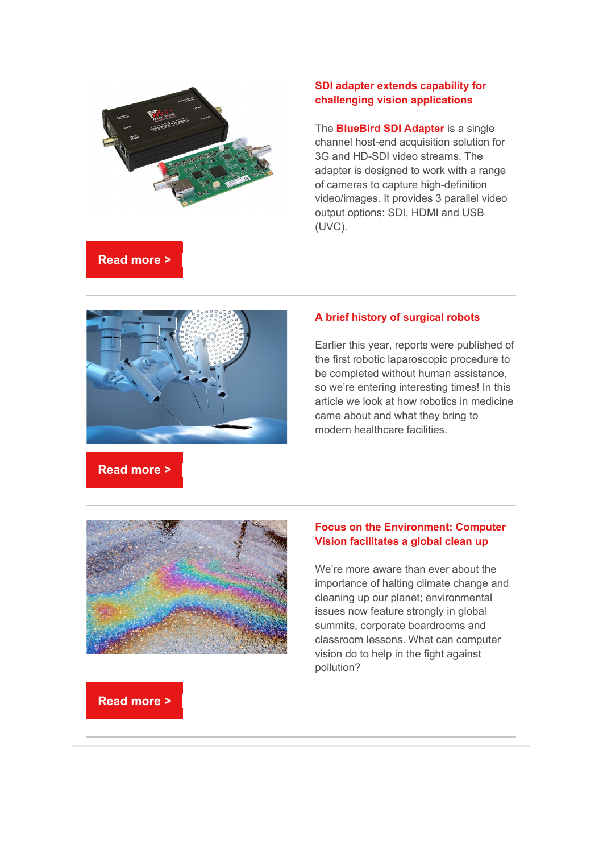

## **[SDI adapter extends capability for](https://www.activesilicon.com/news-media/news/harrier-sdi-adapter/)  [challenging vision applications](https://www.activesilicon.com/news-media/news/harrier-sdi-adapter/)**

The **[BlueBird SDI Adapter](https://www.activesilicon.com/products/harrier-sdi-adapter/)** is a single channel host-end acquisition solution for 3G and HD-SDI video streams. The adapter is designed to work with a range of cameras to capture high-definition video/images. It provides 3 parallel video output options: SDI, HDMI and USB (UVC).

# **[Read more >](https://www.activesilicon.com/news-media/news/harrier-sdi-adapter/)**



#### **[A brief history of surgical robots](https://www.activesilicon.com/news-media/news/a-brief-history-of-surgical-robots/)**

Earlier this year, reports were published of the first robotic laparoscopic procedure to be completed without human assistance, so we're entering interesting times! In this article we look at how robotics in medicine came about and what they bring to modern healthcare facilities.

# **[Read more >](https://www.activesilicon.com/news-media/news/a-brief-history-of-surgical-robots/)**



## **[Focus on the Environment: Computer](https://www.activesilicon.com/news-media/news/computer-vision-facilitates-a-global-clean-up/)  [Vision facilitates a global clean up](https://www.activesilicon.com/news-media/news/computer-vision-facilitates-a-global-clean-up/)**

We're more aware than ever about the importance of halting climate change and cleaning up our planet; environmental issues now feature strongly in global summits, corporate boardrooms and classroom lessons. What can computer vision do to help in the fight against pollution?

# **[Read more >](https://www.activesilicon.com/news-media/news/computer-vision-facilitates-a-global-clean-up/)**